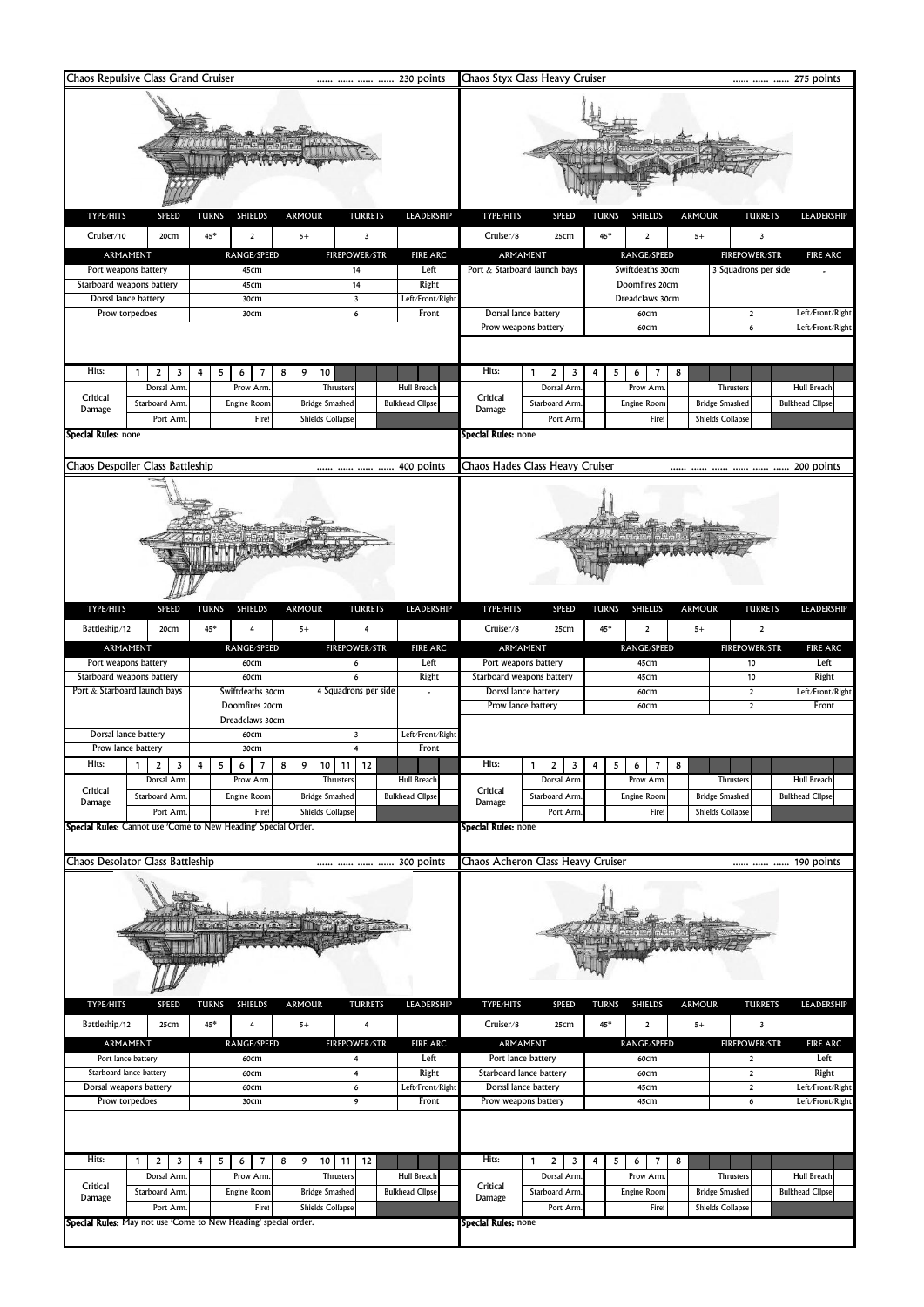| Chaos Repulsive Class Grand Cruiser<br>230 points<br> |                                                                        |                  |                 |                |   |                      |                         |                              | Chaos Styx Class Heavy Cruiser<br>275 points  |                                                                                        |                                     |                         |                 |                                        |                         |                        |  |  |
|-------------------------------------------------------|------------------------------------------------------------------------|------------------|-----------------|----------------|---|----------------------|-------------------------|------------------------------|-----------------------------------------------|----------------------------------------------------------------------------------------|-------------------------------------|-------------------------|-----------------|----------------------------------------|-------------------------|------------------------|--|--|
| TYPE/HITS                                             | <b>SPEED</b>                                                           | <b>TURNS</b>     |                 | <b>SHIELDS</b> |   | <b>ARMOUR</b>        |                         | <b>TURRETS</b>               | LEADERSHIP                                    | TYPE/HITS                                                                              | SPEED                               | <b>TURNS</b>            | <b>SHIELDS</b>  | <b>ARMOUR</b>                          | <b>TURRETS</b>          | LEADERSHIP             |  |  |
| Cruiser/10<br>45*<br>20cm<br>$\mathbf 2$<br>$5+$<br>3 |                                                                        |                  |                 |                |   |                      |                         |                              |                                               | Cruiser/8<br>45*<br>25cm<br>$\overline{\mathbf{c}}$<br>$5+$<br>$\overline{\mathbf{3}}$ |                                     |                         |                 |                                        |                         |                        |  |  |
|                                                       | ARMAMENT                                                               |                  |                 | RANGE/SPEED    |   |                      |                         | <b>FIREPOWER/STR</b>         | <b>FIRE ARC</b>                               |                                                                                        | ARMAMENT                            |                         | RANGE/SPEED     |                                        | <b>FIREPOWER/STR</b>    | <b>FIRE ARC</b>        |  |  |
|                                                       | Port weapons battery                                                   |                  |                 | 45cm           |   |                      |                         | 14                           | Left                                          |                                                                                        | Port & Starboard launch bays        | 3 Squadrons per side    |                 |                                        |                         |                        |  |  |
|                                                       | Starboard weapons battery                                              |                  |                 | 45cm           |   |                      |                         | 14                           | Right                                         |                                                                                        |                                     | Doomfires 20cm          |                 |                                        |                         |                        |  |  |
|                                                       | Dorssl lance battery<br>Prow torpedoes                                 | 30cm<br>30cm     |                 |                |   |                      |                         | $\overline{\mathbf{3}}$<br>6 | Left/Front/Right<br>Front                     | Dorsal lance battery                                                                   |                                     | Dreadclaws 30cm<br>60cm |                 |                                        | $\mathbf 2$             | Left/Front/Right       |  |  |
|                                                       |                                                                        |                  |                 |                |   |                      |                         |                              |                                               |                                                                                        | Prow weapons battery                |                         | 60cm            |                                        | 6                       | Left/Front/Right       |  |  |
|                                                       |                                                                        |                  |                 |                |   |                      |                         |                              |                                               |                                                                                        |                                     |                         |                 |                                        |                         |                        |  |  |
| Hits:                                                 | $\overline{2}$<br>$\mathbf{1}$<br>3                                    | 4                | 5<br>6          | 7              | 8 | 9                    | 10                      |                              |                                               | Hits:                                                                                  | $\mathbf{1}$<br>$\overline{2}$<br>3 | 4                       | 5<br>6<br>7     | 8                                      |                         |                        |  |  |
| Critical                                              | Dorsal Arm                                                             |                  |                 | Prow Arm       |   |                      | Thrusters               |                              | Hull Breach                                   | Critical                                                                               | Dorsal Arm                          |                         | Prow Arm        |                                        | Thrusters               | Hull Breach            |  |  |
| Damage                                                | Starboard Arm.                                                         |                  |                 | Engine Room    |   |                      | <b>Bridge Smashed</b>   |                              | <b>Bulkhead Clipse</b>                        | Damage                                                                                 | Starboard Arm                       |                         | Engine Room     |                                        | <b>Bridge Smashed</b>   | <b>Bulkhead Clipse</b> |  |  |
| Special Rules: none                                   | Port Arm                                                               |                  |                 | Fire!          |   |                      | <b>Shields Collapse</b> |                              |                                               | <b>Special Rules:</b> none                                                             | Port Arm                            |                         | Fire!           |                                        | <b>Shields Collapse</b> |                        |  |  |
|                                                       |                                                                        |                  |                 |                |   |                      |                         |                              |                                               |                                                                                        |                                     |                         |                 |                                        |                         |                        |  |  |
|                                                       | Chaos Despoiler Class Battleship                                       |                  |                 |                |   |                      |                         |                              | 400 points                                    |                                                                                        | Chaos Hades Class Heavy Cruiser     |                         |                 |                                        |                         | 200 points             |  |  |
|                                                       |                                                                        |                  |                 |                |   |                      |                         |                              |                                               |                                                                                        |                                     |                         |                 |                                        |                         |                        |  |  |
|                                                       |                                                                        |                  |                 |                |   |                      |                         |                              |                                               |                                                                                        |                                     |                         |                 |                                        |                         |                        |  |  |
| TYPE/HITS                                             | SPEED                                                                  | <b>TURNS</b>     |                 | <b>SHIELDS</b> |   | <b>ARMOUR</b>        |                         | <b>TURRETS</b>               | LEADERSHIP                                    | TYPE/HITS                                                                              | SPEED                               | <b>TURNS</b>            | <b>SHIELDS</b>  | <b>ARMOUR</b>                          | <b>TURRETS</b>          | LEADERSHIP             |  |  |
| Battleship/12                                         | 20cm                                                                   | $45*$            |                 | 4              |   | $5+$                 |                         | 4                            |                                               | Cruiser/8                                                                              | 25cm                                | 45*                     | 2               | $5+$                                   | $\overline{\mathbf{2}}$ |                        |  |  |
|                                                       | ARMAMENT                                                               |                  |                 | RANGE/SPEED    |   |                      |                         | <b>FIREPOWER/STR</b>         | <b>FIRE ARC</b>                               |                                                                                        | ARMAMENT                            |                         | RANGE/SPEED     |                                        | <b>FIREPOWER/STR</b>    | <b>FIRE ARC</b>        |  |  |
|                                                       | Port weapons battery                                                   |                  |                 | 60cm           |   |                      |                         | 6                            | Left                                          |                                                                                        | Port weapons battery                |                         | 45cm            |                                        | 10                      | Left                   |  |  |
|                                                       | Starboard weapons battery                                              |                  |                 | 60cm           |   |                      |                         | 6                            | Right                                         |                                                                                        | Starboard weapons battery           |                         | 45cm            |                                        | $10$                    | Right                  |  |  |
|                                                       | Port & Starboard launch bays                                           | Swiftdeaths 30cm |                 |                |   | 4 Squadrons per side |                         |                              | Dorssl lance battery                          |                                                                                        | 60cm                                |                         |                 | $\mathbf 2$                            | Left/Front/Right        |                        |  |  |
|                                                       |                                                                        |                  | Doomfires 20cm  |                |   |                      |                         |                              |                                               |                                                                                        | Prow lance battery                  |                         | 60cm            |                                        | $\overline{2}$          | Front                  |  |  |
|                                                       | Dorsal lance battery                                                   |                  | Dreadclaws 30cm | 60cm           |   |                      |                         | $\overline{\mathbf{3}}$      | Left/Front/Right                              |                                                                                        |                                     |                         |                 |                                        |                         |                        |  |  |
|                                                       | Prow lance battery                                                     |                  |                 | 30cm           |   |                      |                         | 4                            | Front                                         |                                                                                        |                                     |                         |                 |                                        |                         |                        |  |  |
| Hits:                                                 | 1 <sup>1</sup><br>$\overline{2}$<br>$\overline{\mathbf{3}}$            |                  | 6               | $\overline{7}$ | 8 | 9                    | 10   11                 | 12                           |                                               | Hits:                                                                                  | $\mathbf{1}$<br>$\overline{a}$<br>3 |                         | 6<br>7          |                                        |                         |                        |  |  |
|                                                       | Dorsal Arm                                                             |                  |                 | Prow Arm       |   |                      | Thruster:               |                              | Hull Breach                                   |                                                                                        | Dorsal Arm                          |                         | Prow Arm        |                                        | <b>Thrusters</b>        | <b>Hull Breach</b>     |  |  |
| Critical<br>Damage                                    | Starboard Arm.                                                         |                  |                 | Engine Room    |   |                      | <b>Bridge Smashed</b>   |                              | <b>Bulkhead Clipse</b>                        | Critical<br>Damage                                                                     | Starboard Arm                       |                         | Engine Room     |                                        | <b>Bridge Smashed</b>   | <b>Bulkhead Clipse</b> |  |  |
|                                                       | Port Arm.                                                              |                  |                 | Fire!          |   |                      | Shields Collapse        |                              |                                               |                                                                                        | Port Arm                            |                         | Fire!           |                                        | <b>Shields Collapse</b> |                        |  |  |
|                                                       | Special Rules: Cannot use 'Come to New Heading' Special Order.         |                  |                 |                |   |                      |                         |                              |                                               | <b>Special Rules:</b> none                                                             |                                     |                         |                 |                                        |                         |                        |  |  |
|                                                       |                                                                        |                  |                 |                |   |                      |                         |                              |                                               |                                                                                        |                                     |                         |                 |                                        |                         |                        |  |  |
|                                                       | Chaos Desolator Class Battleship                                       |                  |                 |                |   |                      |                         |                              | 300 points                                    |                                                                                        | Chaos Acheron Class Heavy Cruiser   |                         |                 |                                        |                         | 190 points             |  |  |
| TYPE/HITS                                             | SPEED                                                                  | <b>TURNS</b>     |                 | <b>SHIELDS</b> |   | <b>ARMOUR</b>        |                         | <b>TURRETS</b>               | LEADERSHIP                                    | TYPE/HITS                                                                              | SPEED                               | <b>TURNS</b>            | <b>SHIELDS</b>  | <b>ARMOUR</b>                          | <b>TURRETS</b>          | LEADERSHIP             |  |  |
|                                                       |                                                                        |                  |                 |                |   |                      |                         |                              |                                               |                                                                                        |                                     |                         |                 |                                        |                         |                        |  |  |
| Battleship/12                                         | 25cm                                                                   | 45*              |                 | 4              |   | $5+$                 |                         | 4                            |                                               | Cruiser/8                                                                              | 25cm                                | $45*$                   | $\overline{2}$  | $5+$                                   | 3                       |                        |  |  |
| ARMAMENT<br>RANGE/SPEED<br><b>FIREPOWER/STR</b>       |                                                                        |                  |                 |                |   | <b>FIRE ARC</b>      | ARMAMENT                |                              | RANGE/SPEED                                   |                                                                                        |                                     | <b>FIREPOWER/STR</b>    | <b>FIRE ARC</b> |                                        |                         |                        |  |  |
| Port lance battery<br>Starboard lance battery         |                                                                        | 60cm<br>60cm     |                 |                |   |                      | 4<br>$\overline{4}$     | Left<br>Right                | Port lance battery<br>Starboard lance battery |                                                                                        | 60cm                                |                         |                 | $\overline{\mathbf{2}}$<br>$\mathbf 2$ | Left<br>Right           |                        |  |  |
| Dorsal weapons battery                                |                                                                        | 60cm             |                 |                |   |                      | 6                       | Left/Front/Right             | Dorssl lance battery                          |                                                                                        | 60cm<br>45cm                        |                         |                 | $\mathbf 2$                            | Left/Front/Right        |                        |  |  |
|                                                       | Prow torpedoes                                                         |                  | 30cm            |                |   |                      |                         | 9                            | Front                                         | Prow weapons battery                                                                   |                                     | 45cm                    |                 |                                        | 6                       | Left/Front/Right       |  |  |
|                                                       |                                                                        |                  |                 |                |   |                      |                         |                              |                                               |                                                                                        |                                     |                         |                 |                                        |                         |                        |  |  |
| Hits:                                                 | $\overline{2}$<br>$\mathbf{1}$<br>3                                    | 4                | 5<br>6          | 7              | 8 | 9                    | $10$ 11                 | 12                           |                                               | Hits:                                                                                  | $\overline{2}$<br>1<br>3            | 4                       | 5<br>6<br>7     | 8                                      |                         |                        |  |  |
|                                                       | Dorsal Arm                                                             |                  |                 | Prow Arm       |   |                      | Thruster:               |                              | Hull Breach                                   |                                                                                        | Dorsal Arm                          |                         | Prow Arm        |                                        | <b>Thrusters</b>        | Hull Breach            |  |  |
| Critical<br>Damage                                    | Starboard Arm.                                                         |                  |                 | Engine Room    |   |                      | <b>Bridge Smashed</b>   |                              | <b>Bulkhead Clipse</b>                        | Critical<br>Damage                                                                     | Starboard Arm                       |                         | Engine Room     |                                        | <b>Bridge Smashed</b>   | <b>Bulkhead Clipse</b> |  |  |
|                                                       | Port Arm                                                               |                  |                 | Fire!          |   |                      | Shields Collapse        |                              |                                               |                                                                                        | Port Arm                            |                         | Fire!           |                                        | Shields Collapse        |                        |  |  |
|                                                       | <b>Special Rules:</b> May not use 'Come to New Heading' special order. |                  |                 |                |   |                      |                         |                              |                                               | Special Rules: none                                                                    |                                     |                         |                 |                                        |                         |                        |  |  |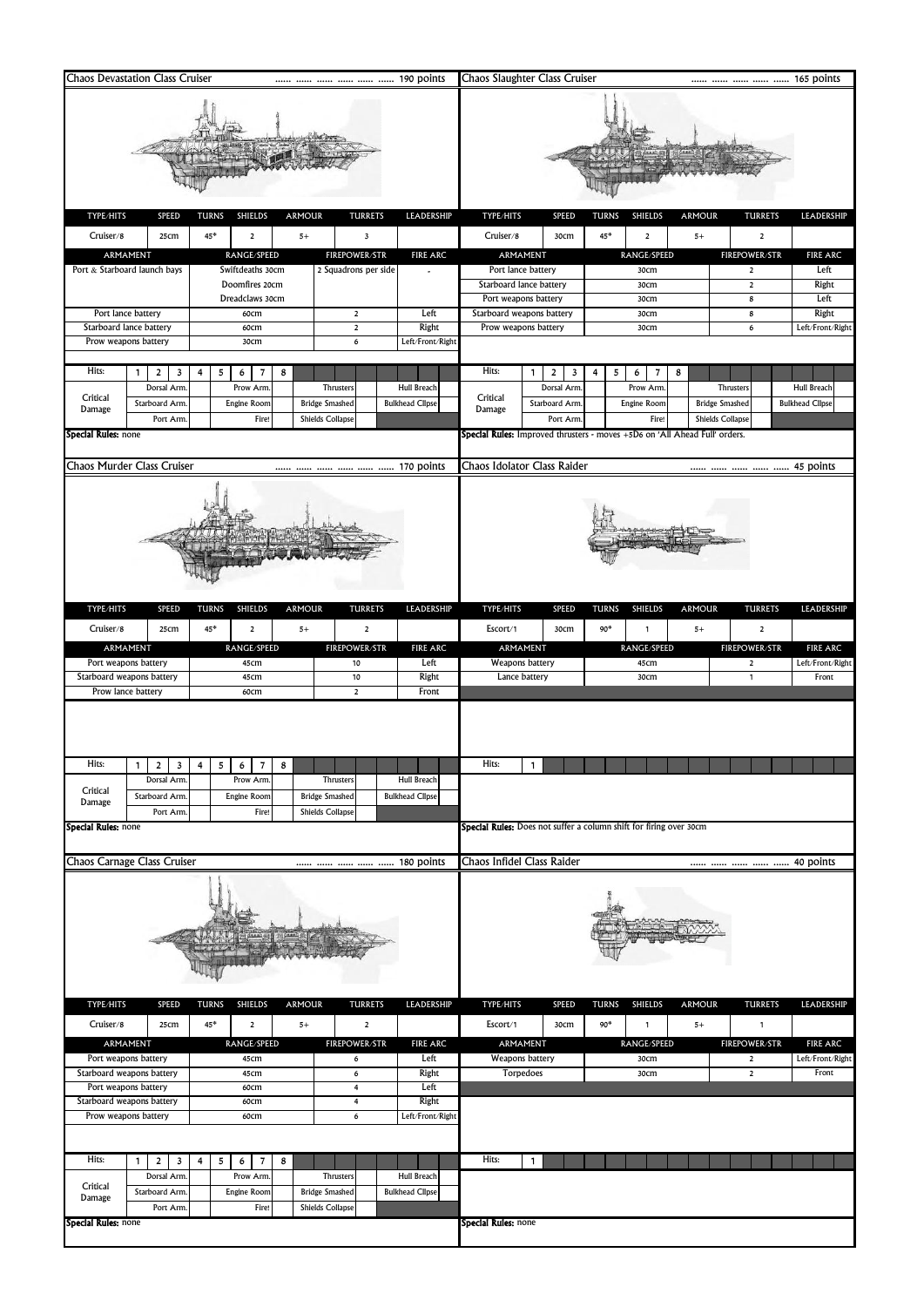| <b>Chaos Devastation Class Cruiser</b>                                                                         |                                                                       | 190 points                                                    |                                       | Chaos Slaughter Class Cruiser                                         |                          |                                                                                            | 165 points                                              |                                          |  |  |  |  |  |
|----------------------------------------------------------------------------------------------------------------|-----------------------------------------------------------------------|---------------------------------------------------------------|---------------------------------------|-----------------------------------------------------------------------|--------------------------|--------------------------------------------------------------------------------------------|---------------------------------------------------------|------------------------------------------|--|--|--|--|--|
| TYPE/HITS<br><b>SPEED</b>                                                                                      | <b>TURNS</b><br><b>SHIELDS</b><br><b>ARMOUR</b>                       | <b>TURRETS</b>                                                | LEADERSHIP                            | TYPE/HITS                                                             | <b>SPEED</b>             | TURNS<br><b>SHIELDS</b>                                                                    | <b>ARMOUR</b><br><b>TURRETS</b>                         | LEADERSHIP                               |  |  |  |  |  |
| Cruiser/8<br>25cm                                                                                              | 45*<br>$\mathbf 2$<br>$5+$                                            | 3                                                             | Cruiser/8                             |                                                                       | 45*<br>$\mathbf 2$       |                                                                                            |                                                         |                                          |  |  |  |  |  |
| ARMAMENT                                                                                                       | RANGE/SPEED                                                           | <b>FIREPOWER/STR</b>                                          | <b>FIRE ARC</b>                       | 30cm<br>$\mathbf 2$<br>$5+$<br>ARMAMENT<br><b>FIREPOWER/STR</b>       |                          |                                                                                            |                                                         |                                          |  |  |  |  |  |
| Port & Starboard launch bays                                                                                   | Swiftdeaths 30cm<br>Doomfires 20cm<br>Dreadclaws 30cm                 | 2 Squadrons per side                                          |                                       | Port lance battery<br>Starboard lance battery<br>Port weapons battery |                          | RANGE/SPEED<br>30cm<br>30cm<br>30cm                                                        | $\overline{2}$<br>$\overline{2}$<br>8                   | <b>FIRE ARC</b><br>Left<br>Right<br>Left |  |  |  |  |  |
| Port lance battery                                                                                             | 60cm                                                                  | $\overline{2}$                                                | Left                                  | Starboard weapons battery                                             |                          | 30cm                                                                                       | 8                                                       | Right                                    |  |  |  |  |  |
| Starboard lance battery<br>Prow weapons battery                                                                | 60cm<br>30cm                                                          | $\overline{2}$<br>6                                           | Right<br>Left/Front/Right             | Prow weapons battery                                                  |                          | 30cm                                                                                       | 6                                                       | Left/Front/Right                         |  |  |  |  |  |
|                                                                                                                |                                                                       |                                                               |                                       |                                                                       |                          |                                                                                            |                                                         |                                          |  |  |  |  |  |
| Hits:<br>1<br>2<br>3                                                                                           | 4<br>5<br>6<br>8<br>7                                                 |                                                               |                                       | Hits:                                                                 | 1<br>$\overline{2}$<br>3 | 5<br>6<br>7<br>4                                                                           | 8                                                       |                                          |  |  |  |  |  |
| Dorsal Arm<br>Critical                                                                                         | Prow Arm                                                              | Thrusters                                                     | <b>Hull Breach</b>                    | Critical                                                              | Dorsal Arm               | Prow Arm.                                                                                  | Thrusters                                               | <b>Hull Breach</b>                       |  |  |  |  |  |
| Starboard Arm<br>Damage                                                                                        | Engine Room                                                           | <b>Bridge Smashed</b>                                         | <b>Bulkhead Clipse</b>                | Damage                                                                | <b>Starboard Arm</b>     | Engine Room                                                                                | <b>Bridge Smashed</b>                                   | <b>Bulkhead Clipse</b>                   |  |  |  |  |  |
| Port Arm<br>Special Rules: none                                                                                | Fire!                                                                 | <b>Shields Collapse</b>                                       |                                       |                                                                       | Port Arm                 | Fire!<br><b>Special Rules:</b> Improved thrusters - moves +5D6 on 'All Ahead Full' orders. | <b>Shields Collapse</b>                                 |                                          |  |  |  |  |  |
|                                                                                                                |                                                                       |                                                               |                                       |                                                                       |                          |                                                                                            |                                                         |                                          |  |  |  |  |  |
| Chaos Murder Class Cruiser                                                                                     |                                                                       |                                                               | 170 points                            | Chaos Idolator Class Raider                                           |                          |                                                                                            |                                                         | 45 points                                |  |  |  |  |  |
|                                                                                                                |                                                                       |                                                               |                                       |                                                                       |                          |                                                                                            |                                                         |                                          |  |  |  |  |  |
|                                                                                                                |                                                                       |                                                               |                                       |                                                                       |                          |                                                                                            |                                                         |                                          |  |  |  |  |  |
| TYPE/HITS<br>SPEED                                                                                             | <b>TURNS</b><br><b>SHIELDS</b><br><b>ARMOUR</b>                       | <b>TURRETS</b>                                                | LEADERSHIP                            | TYPE/HITS                                                             | SPEED                    | <b>TURNS</b><br><b>SHIELDS</b>                                                             | <b>ARMOUR</b><br><b>TURRETS</b>                         | LEADERSHIP                               |  |  |  |  |  |
| Cruiser/8<br>25cm                                                                                              | $45*$<br>$\mathbf 2$<br>$5+$                                          | $\overline{\mathbf{2}}$                                       |                                       | Escort/1                                                              | 30cm                     | $90*$<br>1                                                                                 | $5+$<br>$\overline{\mathbf{c}}$                         |                                          |  |  |  |  |  |
| ARMAMENT<br>Port weapons battery                                                                               | RANGE/SPEED<br>45cm                                                   | <b>FIREPOWER/STR</b><br>10                                    | <b>FIRE ARC</b><br>Left               | ARMAMENT<br>Weapons battery                                           |                          | RANGE/SPEED<br>45cm                                                                        | FIREPOWER/STR<br>$\overline{2}$                         | <b>FIRE ARC</b><br>Left/Front/Right      |  |  |  |  |  |
| Starboard weapons battery                                                                                      | 45cm                                                                  | 10                                                            | Right                                 | Lance battery                                                         |                          | 30cm                                                                                       | $\mathbf{1}$                                            | Front                                    |  |  |  |  |  |
| Prow lance battery                                                                                             | 60cm                                                                  | $\overline{2}$                                                | Front                                 |                                                                       |                          |                                                                                            |                                                         |                                          |  |  |  |  |  |
| Hits:<br>2<br>3<br>Dorsal Arm<br>Critical<br>Starboard Arm<br>Damage<br>Port Arm<br><b>Special Rules: none</b> | 4<br>5<br>6<br>8<br>Prow Arm<br>Engine Room<br>Fire!                  | Thrusters<br><b>Bridge Smashed</b><br><b>Shields Collapse</b> | Hull Breach<br><b>Bulkhead Clipse</b> | Hits:                                                                 |                          | <b>Special Rules:</b> Does not suffer a column shift for firing over 30cm                  |                                                         |                                          |  |  |  |  |  |
| Chaos Carnage Class Cruiser                                                                                    |                                                                       | 180 points                                                    |                                       | Chaos Infidel Class Raider<br>40 points                               |                          |                                                                                            |                                                         |                                          |  |  |  |  |  |
|                                                                                                                |                                                                       |                                                               |                                       |                                                                       |                          |                                                                                            |                                                         |                                          |  |  |  |  |  |
| TYPE/HITS<br><b>SPEED</b><br>Cruiser/8<br>25cm                                                                 | <b>TURNS</b><br><b>SHIELDS</b><br><b>ARMOUR</b><br>$45*$<br>2<br>$5+$ | <b>TURRETS</b><br>$\mathbf 2$                                 | LEADERSHIP                            | TYPE/HITS<br>Escort/1                                                 | SPEED<br>30cm            | <b>TURNS</b><br><b>SHIELDS</b><br>90*<br>1                                                 | <b>ARMOUR</b><br><b>TURRETS</b><br>$5+$<br>$\mathbf{1}$ | LEADERSHIP                               |  |  |  |  |  |
| ARMAMENT                                                                                                       | RANGE/SPEED                                                           | <b>FIREPOWER/STR</b>                                          | <b>FIRE ARC</b>                       | ARMAMENT                                                              |                          | RANGE/SPEED                                                                                | <b>FIREPOWER/STR</b>                                    | <b>FIRE ARC</b>                          |  |  |  |  |  |
| Port weapons battery<br>Starboard weapons battery                                                              | 45cm<br>45cm                                                          | 6<br>6                                                        | Left<br>Right                         | Weapons battery<br>Torpedoes                                          |                          | 30cm<br>30cm                                                                               | $\overline{2}$<br>$\mathbf 2$                           | Left/Front/Right<br>Front                |  |  |  |  |  |
| Port weapons battery                                                                                           | 60cm                                                                  | 4                                                             | Left                                  |                                                                       |                          |                                                                                            |                                                         |                                          |  |  |  |  |  |
| Starboard weapons battery                                                                                      | 60cm                                                                  | 4                                                             | Right                                 |                                                                       |                          |                                                                                            |                                                         |                                          |  |  |  |  |  |
| Prow weapons battery                                                                                           | 60cm                                                                  | 6                                                             | Left/Front/Right                      |                                                                       |                          |                                                                                            |                                                         |                                          |  |  |  |  |  |
| Hits:<br>$\overline{2}$<br>$\mathbf{1}$<br>3                                                                   | 5<br>6<br>8<br>4<br>7                                                 |                                                               |                                       | Hits:                                                                 | $\mathbf{1}$             |                                                                                            |                                                         |                                          |  |  |  |  |  |
| Dorsal Arm                                                                                                     | Prow Arm                                                              | Thrusters                                                     | Hull Breach                           |                                                                       |                          |                                                                                            |                                                         |                                          |  |  |  |  |  |
| Critical<br>Starboard Arm<br>Damage                                                                            | Engine Room                                                           | <b>Bridge Smashed</b>                                         | <b>Bulkhead Clipse</b>                |                                                                       |                          |                                                                                            |                                                         |                                          |  |  |  |  |  |
| Port Arm                                                                                                       | Fire!                                                                 | Shields Collapse                                              |                                       |                                                                       |                          |                                                                                            |                                                         |                                          |  |  |  |  |  |
| <b>Special Rules: none</b>                                                                                     |                                                                       |                                                               |                                       | <b>Special Rules:</b> none                                            |                          |                                                                                            |                                                         |                                          |  |  |  |  |  |